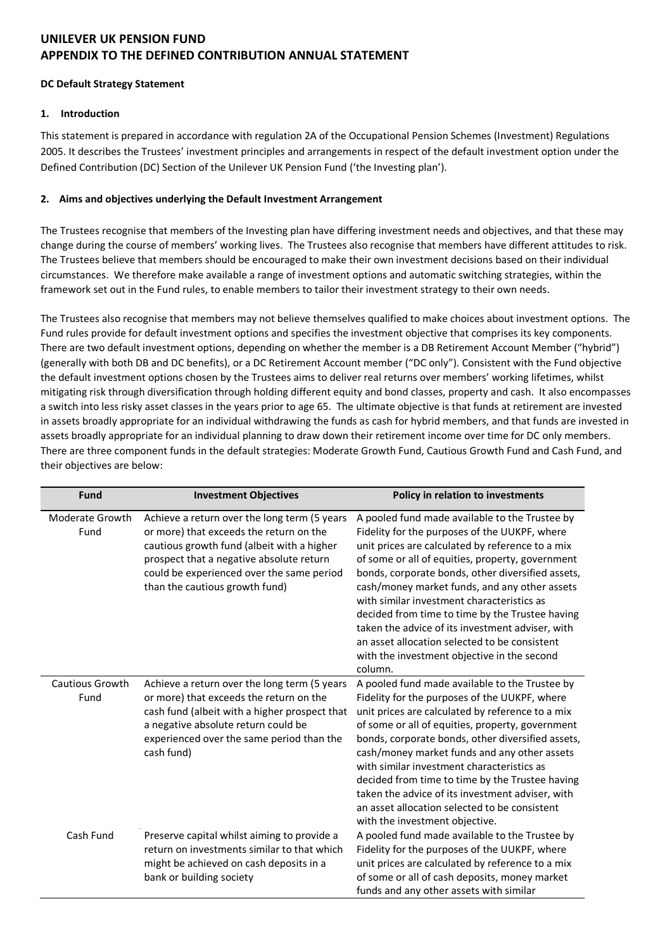## **DC Default Strategy Statement**

## **1. Introduction**

This statement is prepared in accordance with regulation 2A of the Occupational Pension Schemes (Investment) Regulations 2005. It describes the Trustees' investment principles and arrangements in respect of the default investment option under the Defined Contribution (DC) Section of the Unilever UK Pension Fund ('the Investing plan').

## **2. Aims and objectives underlying the Default Investment Arrangement**

The Trustees recognise that members of the Investing plan have differing investment needs and objectives, and that these may change during the course of members' working lives. The Trustees also recognise that members have different attitudes to risk. The Trustees believe that members should be encouraged to make their own investment decisions based on their individual circumstances. We therefore make available a range of investment options and automatic switching strategies, within the framework set out in the Fund rules, to enable members to tailor their investment strategy to their own needs.

The Trustees also recognise that members may not believe themselves qualified to make choices about investment options. The Fund rules provide for default investment options and specifies the investment objective that comprises its key components. There are two default investment options, depending on whether the member is a DB Retirement Account Member ("hybrid") (generally with both DB and DC benefits), or a DC Retirement Account member ("DC only"). Consistent with the Fund objective the default investment options chosen by the Trustees aims to deliver real returns over members' working lifetimes, whilst mitigating risk through diversification through holding different equity and bond classes, property and cash. It also encompasses a switch into less risky asset classes in the years prior to age 65. The ultimate objective is that funds at retirement are invested in assets broadly appropriate for an individual withdrawing the funds as cash for hybrid members, and that funds are invested in assets broadly appropriate for an individual planning to draw down their retirement income over time for DC only members. There are three component funds in the default strategies: Moderate Growth Fund, Cautious Growth Fund and Cash Fund, and their objectives are below:

| <b>Fund</b>                    | <b>Investment Objectives</b>                                                                                                                                                                                                                                     | Policy in relation to investments                                                                                                                                                                                                                                                                                                                                                                                                                                                                                                                                             |
|--------------------------------|------------------------------------------------------------------------------------------------------------------------------------------------------------------------------------------------------------------------------------------------------------------|-------------------------------------------------------------------------------------------------------------------------------------------------------------------------------------------------------------------------------------------------------------------------------------------------------------------------------------------------------------------------------------------------------------------------------------------------------------------------------------------------------------------------------------------------------------------------------|
| Moderate Growth<br>Fund        | Achieve a return over the long term (5 years<br>or more) that exceeds the return on the<br>cautious growth fund (albeit with a higher<br>prospect that a negative absolute return<br>could be experienced over the same period<br>than the cautious growth fund) | A pooled fund made available to the Trustee by<br>Fidelity for the purposes of the UUKPF, where<br>unit prices are calculated by reference to a mix<br>of some or all of equities, property, government<br>bonds, corporate bonds, other diversified assets,<br>cash/money market funds, and any other assets<br>with similar investment characteristics as<br>decided from time to time by the Trustee having<br>taken the advice of its investment adviser, with<br>an asset allocation selected to be consistent<br>with the investment objective in the second<br>column. |
| <b>Cautious Growth</b><br>Fund | Achieve a return over the long term (5 years<br>or more) that exceeds the return on the<br>cash fund (albeit with a higher prospect that<br>a negative absolute return could be<br>experienced over the same period than the<br>cash fund)                       | A pooled fund made available to the Trustee by<br>Fidelity for the purposes of the UUKPF, where<br>unit prices are calculated by reference to a mix<br>of some or all of equities, property, government<br>bonds, corporate bonds, other diversified assets,<br>cash/money market funds and any other assets<br>with similar investment characteristics as<br>decided from time to time by the Trustee having<br>taken the advice of its investment adviser, with<br>an asset allocation selected to be consistent<br>with the investment objective.                          |
| Cash Fund                      | Preserve capital whilst aiming to provide a<br>return on investments similar to that which<br>might be achieved on cash deposits in a<br>bank or building society                                                                                                | A pooled fund made available to the Trustee by<br>Fidelity for the purposes of the UUKPF, where<br>unit prices are calculated by reference to a mix<br>of some or all of cash deposits, money market<br>funds and any other assets with similar                                                                                                                                                                                                                                                                                                                               |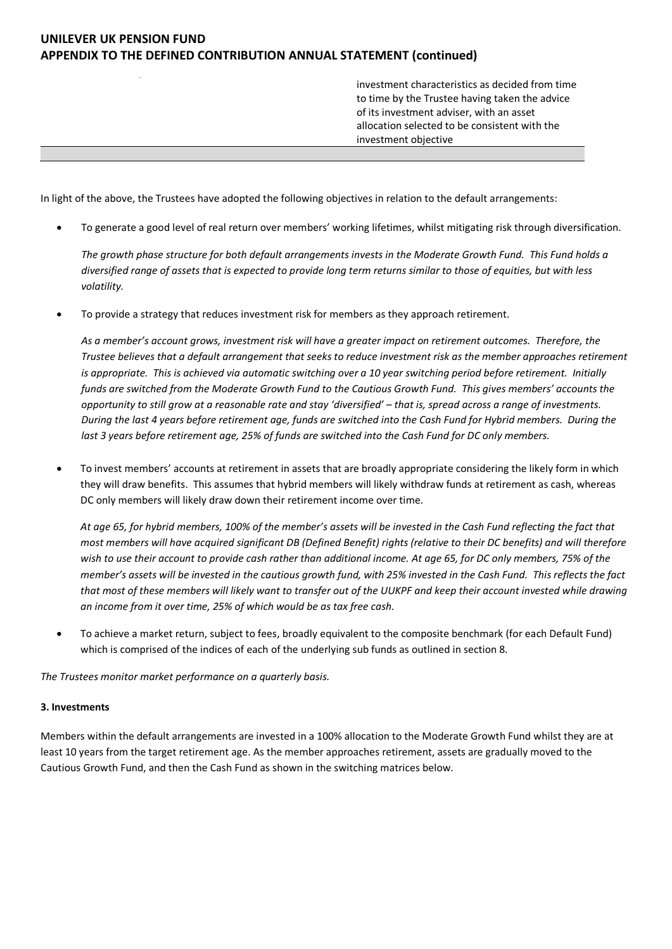investment characteristics as decided from time to time by the Trustee having taken the advice of its investment adviser, with an asset allocation selected to be consistent with the investment objective

In light of the above, the Trustees have adopted the following objectives in relation to the default arrangements:

• To generate a good level of real return over members' working lifetimes, whilst mitigating risk through diversification.

*The growth phase structure for both default arrangements invests in the Moderate Growth Fund. This Fund holds a diversified range of assets that is expected to provide long term returns similar to those of equities, but with less volatility.* 

• To provide a strategy that reduces investment risk for members as they approach retirement.

*As a member's account grows, investment risk will have a greater impact on retirement outcomes. Therefore, the Trustee believes that a default arrangement that seeks to reduce investment risk as the member approaches retirement is appropriate. This is achieved via automatic switching over a 10 year switching period before retirement. Initially funds are switched from the Moderate Growth Fund to the Cautious Growth Fund. This gives members' accounts the opportunity to still grow at a reasonable rate and stay 'diversified' – that is, spread across a range of investments. During the last 4 years before retirement age, funds are switched into the Cash Fund for Hybrid members. During the last 3 years before retirement age, 25% of funds are switched into the Cash Fund for DC only members.*

• To invest members' accounts at retirement in assets that are broadly appropriate considering the likely form in which they will draw benefits. This assumes that hybrid members will likely withdraw funds at retirement as cash, whereas DC only members will likely draw down their retirement income over time.

*At age 65, for hybrid members, 100% of the member's assets will be invested in the Cash Fund reflecting the fact that most members will have acquired significant DB (Defined Benefit) rights (relative to their DC benefits) and will therefore wish to use their account to provide cash rather than additional income. At age 65, for DC only members, 75% of the member's assets will be invested in the cautious growth fund, with 25% invested in the Cash Fund. This reflects the fact that most of these members will likely want to transfer out of the UUKPF and keep their account invested while drawing an income from it over time, 25% of which would be as tax free cash.*

• To achieve a market return, subject to fees, broadly equivalent to the composite benchmark (for each Default Fund) which is comprised of the indices of each of the underlying sub funds as outlined in section 8.

*The Trustees monitor market performance on a quarterly basis.* 

#### **3. Investments**

Members within the default arrangements are invested in a 100% allocation to the Moderate Growth Fund whilst they are at least 10 years from the target retirement age. As the member approaches retirement, assets are gradually moved to the Cautious Growth Fund, and then the Cash Fund as shown in the switching matrices below.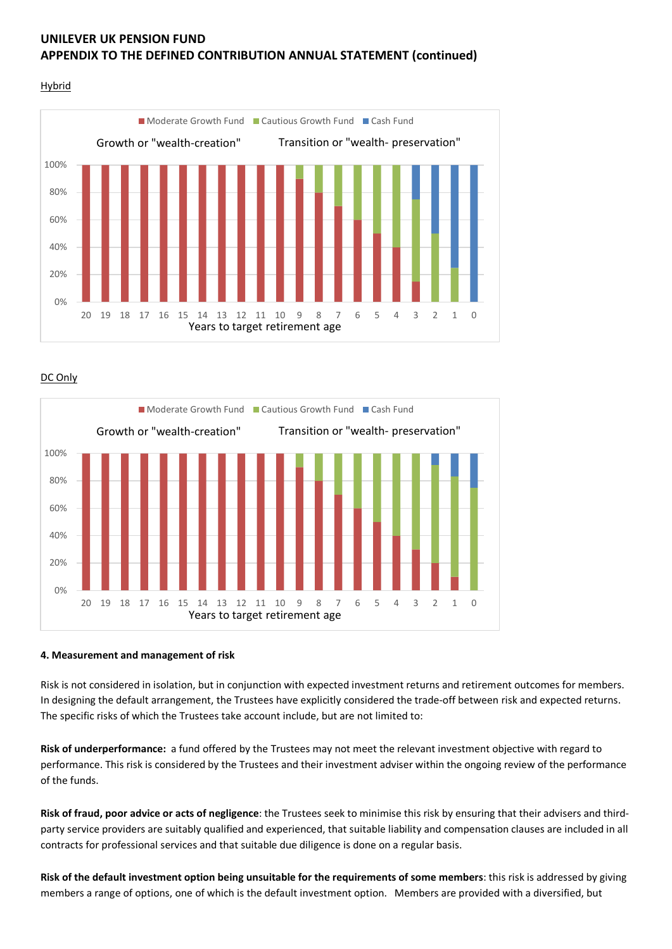

DC Only



#### **4. Measurement and management of risk**

Risk is not considered in isolation, but in conjunction with expected investment returns and retirement outcomes for members. In designing the default arrangement, the Trustees have explicitly considered the trade-off between risk and expected returns. The specific risks of which the Trustees take account include, but are not limited to:

**Risk of underperformance:** a fund offered by the Trustees may not meet the relevant investment objective with regard to performance. This risk is considered by the Trustees and their investment adviser within the ongoing review of the performance of the funds.

**Risk of fraud, poor advice or acts of negligence**: the Trustees seek to minimise this risk by ensuring that their advisers and thirdparty service providers are suitably qualified and experienced, that suitable liability and compensation clauses are included in all contracts for professional services and that suitable due diligence is done on a regular basis.

**Risk of the default investment option being unsuitable for the requirements of some members**: this risk is addressed by giving members a range of options, one of which is the default investment option. Members are provided with a diversified, but

## **Hybrid**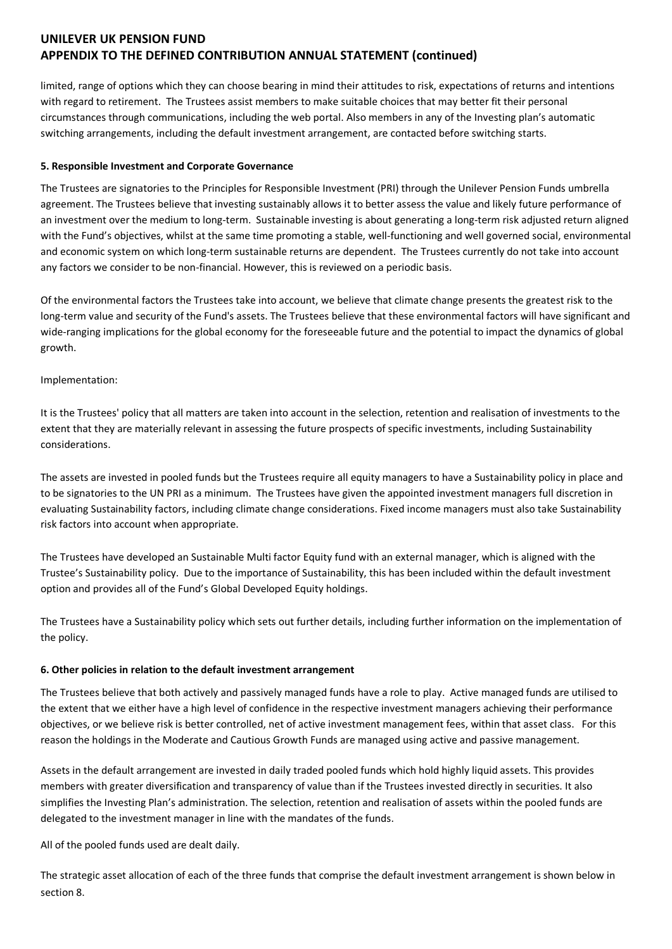limited, range of options which they can choose bearing in mind their attitudes to risk, expectations of returns and intentions with regard to retirement. The Trustees assist members to make suitable choices that may better fit their personal circumstances through communications, including the web portal. Also members in any of the Investing plan's automatic switching arrangements, including the default investment arrangement, are contacted before switching starts.

### **5. Responsible Investment and Corporate Governance**

The Trustees are signatories to the Principles for Responsible Investment (PRI) through the Unilever Pension Funds umbrella agreement. The Trustees believe that investing sustainably allows it to better assess the value and likely future performance of an investment over the medium to long-term. Sustainable investing is about generating a long-term risk adjusted return aligned with the Fund's objectives, whilst at the same time promoting a stable, well-functioning and well governed social, environmental and economic system on which long-term sustainable returns are dependent. The Trustees currently do not take into account any factors we consider to be non-financial. However, this is reviewed on a periodic basis.

Of the environmental factors the Trustees take into account, we believe that climate change presents the greatest risk to the long-term value and security of the Fund's assets. The Trustees believe that these environmental factors will have significant and wide-ranging implications for the global economy for the foreseeable future and the potential to impact the dynamics of global growth.

### Implementation:

It is the Trustees' policy that all matters are taken into account in the selection, retention and realisation of investments to the extent that they are materially relevant in assessing the future prospects of specific investments, including Sustainability considerations.

The assets are invested in pooled funds but the Trustees require all equity managers to have a Sustainability policy in place and to be signatories to the UN PRI as a minimum. The Trustees have given the appointed investment managers full discretion in evaluating Sustainability factors, including climate change considerations. Fixed income managers must also take Sustainability risk factors into account when appropriate.

The Trustees have developed an Sustainable Multi factor Equity fund with an external manager, which is aligned with the Trustee's Sustainability policy. Due to the importance of Sustainability, this has been included within the default investment option and provides all of the Fund's Global Developed Equity holdings.

The Trustees have a Sustainability policy which sets out further details, including further information on the implementation of the policy.

#### **6. Other policies in relation to the default investment arrangement**

The Trustees believe that both actively and passively managed funds have a role to play. Active managed funds are utilised to the extent that we either have a high level of confidence in the respective investment managers achieving their performance objectives, or we believe risk is better controlled, net of active investment management fees, within that asset class. For this reason the holdings in the Moderate and Cautious Growth Funds are managed using active and passive management.

Assets in the default arrangement are invested in daily traded pooled funds which hold highly liquid assets. This provides members with greater diversification and transparency of value than if the Trustees invested directly in securities. It also simplifies the Investing Plan's administration. The selection, retention and realisation of assets within the pooled funds are delegated to the investment manager in line with the mandates of the funds.

All of the pooled funds used are dealt daily.

The strategic asset allocation of each of the three funds that comprise the default investment arrangement is shown below in section 8.